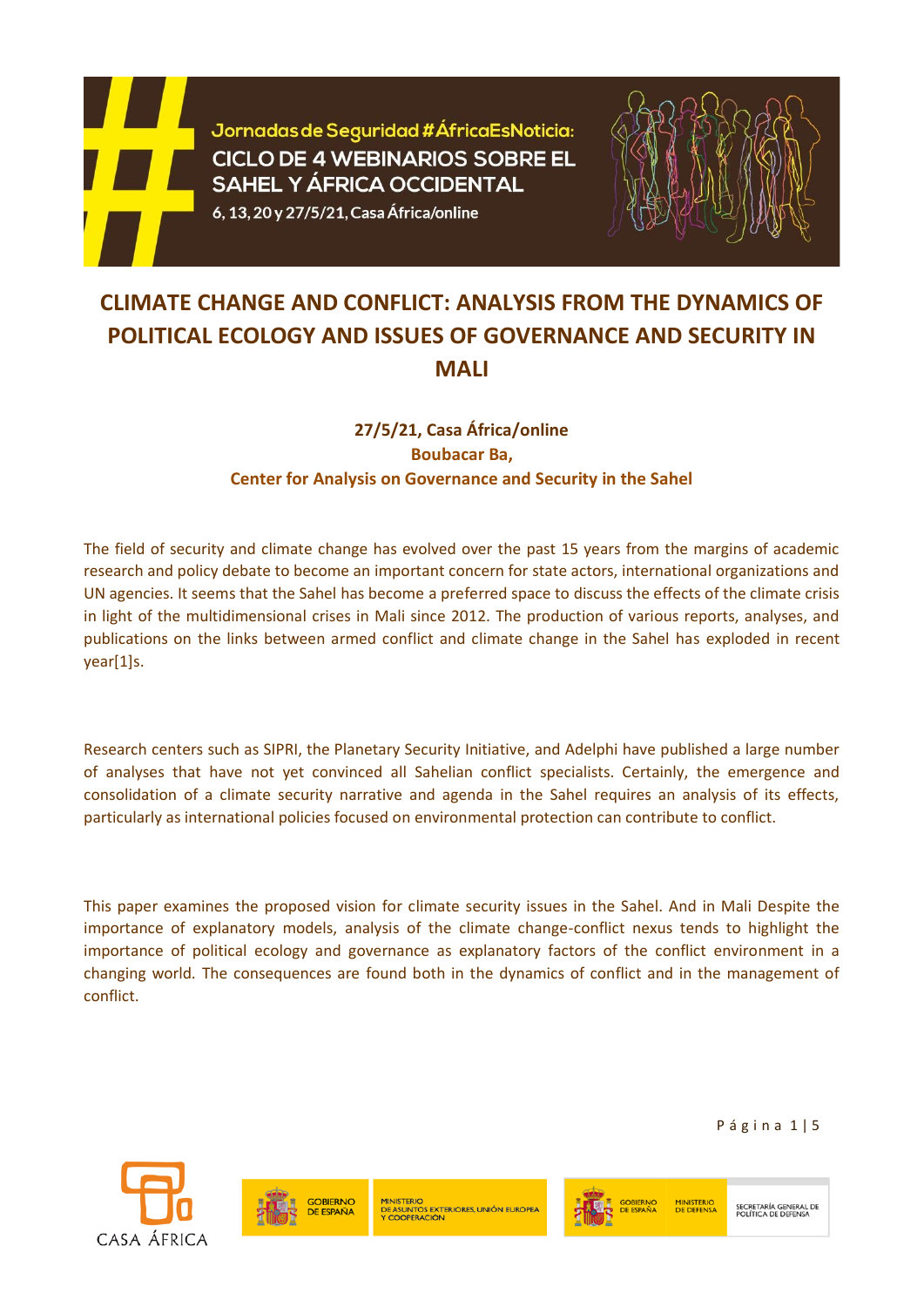

Jornadas de Seguridad #ÁfricaEsNoticia: **CICLO DE 4 WEBINARIOS SOBRE EL SAHEL Y ÁFRICA OCCIDENTAL** 

6, 13, 20 y 27/5/21, Casa África/online



## **CLIMATE CHANGE AND CONFLICT: ANALYSIS FROM THE DYNAMICS OF POLITICAL ECOLOGY AND ISSUES OF GOVERNANCE AND SECURITY IN MALI**

## **27/5/21, Casa África/online Boubacar Ba, Center for Analysis on Governance and Security in the Sahel**

The field of security and climate change has evolved over the past 15 years from the margins of academic research and policy debate to become an important concern for state actors, international organizations and UN agencies. It seems that the Sahel has become a preferred space to discuss the effects of the climate crisis in light of the multidimensional crises in Mali since 2012. The production of various reports, analyses, and publications on the links between armed conflict and climate change in the Sahel has exploded in recent year[1]s.

Research centers such as SIPRI, the Planetary Security Initiative, and Adelphi have published a large number of analyses that have not yet convinced all Sahelian conflict specialists. Certainly, the emergence and consolidation of a climate security narrative and agenda in the Sahel requires an analysis of its effects, particularly as international policies focused on environmental protection can contribute to conflict.

This paper examines the proposed vision for climate security issues in the Sahel. And in Mali Despite the importance of explanatory models, analysis of the climate change-conflict nexus tends to highlight the importance of political ecology and governance as explanatory factors of the conflict environment in a changing world. The consequences are found both in the dynamics of conflict and in the management of conflict.

P á g i n a 1 | 5







**MINISTERIO**<br>DE DEFENSA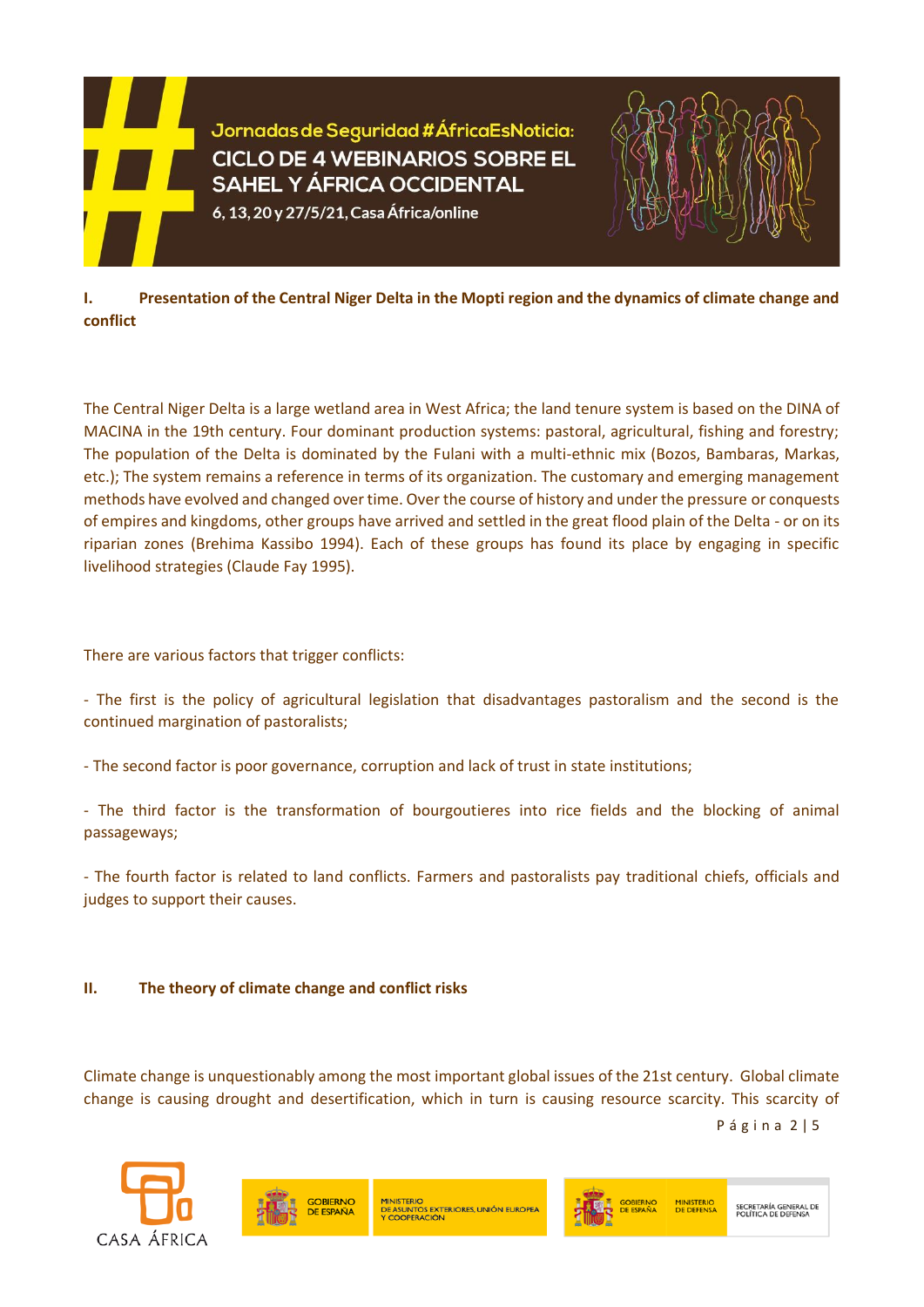



**I. Presentation of the Central Niger Delta in the Mopti region and the dynamics of climate change and conflict**

The Central Niger Delta is a large wetland area in West Africa; the land tenure system is based on the DINA of MACINA in the 19th century. Four dominant production systems: pastoral, agricultural, fishing and forestry; The population of the Delta is dominated by the Fulani with a multi-ethnic mix (Bozos, Bambaras, Markas, etc.); The system remains a reference in terms of its organization. The customary and emerging management methods have evolved and changed over time. Over the course of history and under the pressure or conquests of empires and kingdoms, other groups have arrived and settled in the great flood plain of the Delta - or on its riparian zones (Brehima Kassibo 1994). Each of these groups has found its place by engaging in specific livelihood strategies (Claude Fay 1995).

There are various factors that trigger conflicts:

- The first is the policy of agricultural legislation that disadvantages pastoralism and the second is the continued margination of pastoralists;

- The second factor is poor governance, corruption and lack of trust in state institutions;

- The third factor is the transformation of bourgoutieres into rice fields and the blocking of animal passageways;

- The fourth factor is related to land conflicts. Farmers and pastoralists pay traditional chiefs, officials and judges to support their causes.

## **II. The theory of climate change and conflict risks**

Climate change is unquestionably among the most important global issues of the 21st century. Global climate change is causing drought and desertification, which in turn is causing resource scarcity. This scarcity of

P á g i n a 2 | 5





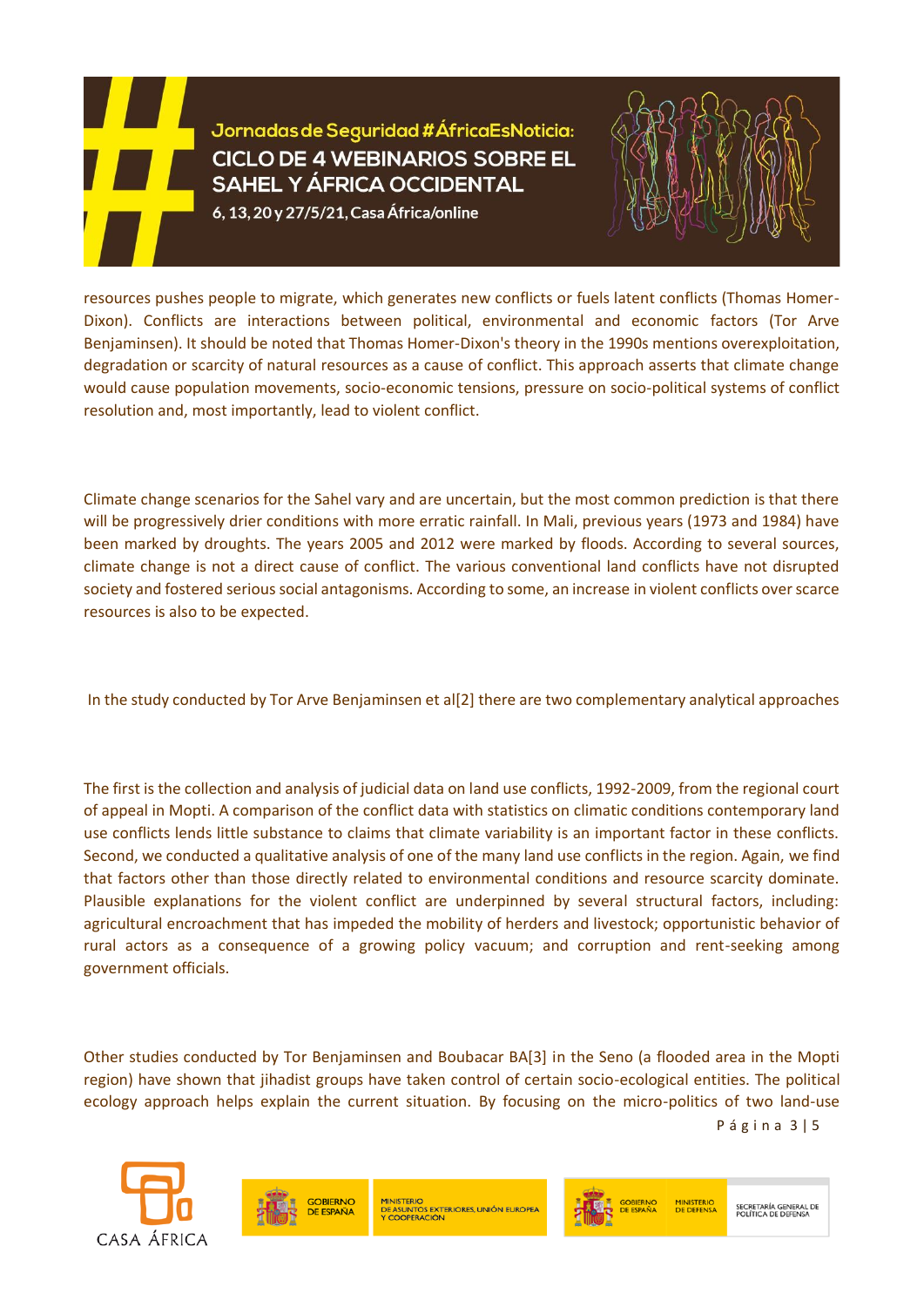## Jornadas de Seguridad #ÁfricaEsNoticia: **CICLO DE 4 WEBINARIOS SOBRE EL SAHEL Y ÁFRICA OCCIDENTAL**

6, 13, 20 y 27/5/21, Casa África/online



resources pushes people to migrate, which generates new conflicts or fuels latent conflicts (Thomas Homer-Dixon). Conflicts are interactions between political, environmental and economic factors (Tor Arve Benjaminsen). It should be noted that Thomas Homer-Dixon's theory in the 1990s mentions overexploitation, degradation or scarcity of natural resources as a cause of conflict. This approach asserts that climate change would cause population movements, socio-economic tensions, pressure on socio-political systems of conflict resolution and, most importantly, lead to violent conflict.

Climate change scenarios for the Sahel vary and are uncertain, but the most common prediction is that there will be progressively drier conditions with more erratic rainfall. In Mali, previous years (1973 and 1984) have been marked by droughts. The years 2005 and 2012 were marked by floods. According to several sources, climate change is not a direct cause of conflict. The various conventional land conflicts have not disrupted society and fostered serious social antagonisms. According to some, an increase in violent conflicts over scarce resources is also to be expected.

In the study conducted by Tor Arve Benjaminsen et al[2] there are two complementary analytical approaches

The first is the collection and analysis of judicial data on land use conflicts, 1992-2009, from the regional court of appeal in Mopti. A comparison of the conflict data with statistics on climatic conditions contemporary land use conflicts lends little substance to claims that climate variability is an important factor in these conflicts. Second, we conducted a qualitative analysis of one of the many land use conflicts in the region. Again, we find that factors other than those directly related to environmental conditions and resource scarcity dominate. Plausible explanations for the violent conflict are underpinned by several structural factors, including: agricultural encroachment that has impeded the mobility of herders and livestock; opportunistic behavior of rural actors as a consequence of a growing policy vacuum; and corruption and rent-seeking among government officials.

P á g i n a 3 | 5 Other studies conducted by Tor Benjaminsen and Boubacar BA[3] in the Seno (a flooded area in the Mopti region) have shown that jihadist groups have taken control of certain socio-ecological entities. The political ecology approach helps explain the current situation. By focusing on the micro-politics of two land-use





**MINISTERIO** ENIO<br>INTOS EXTERIORES, UNIÓN EUROPEA

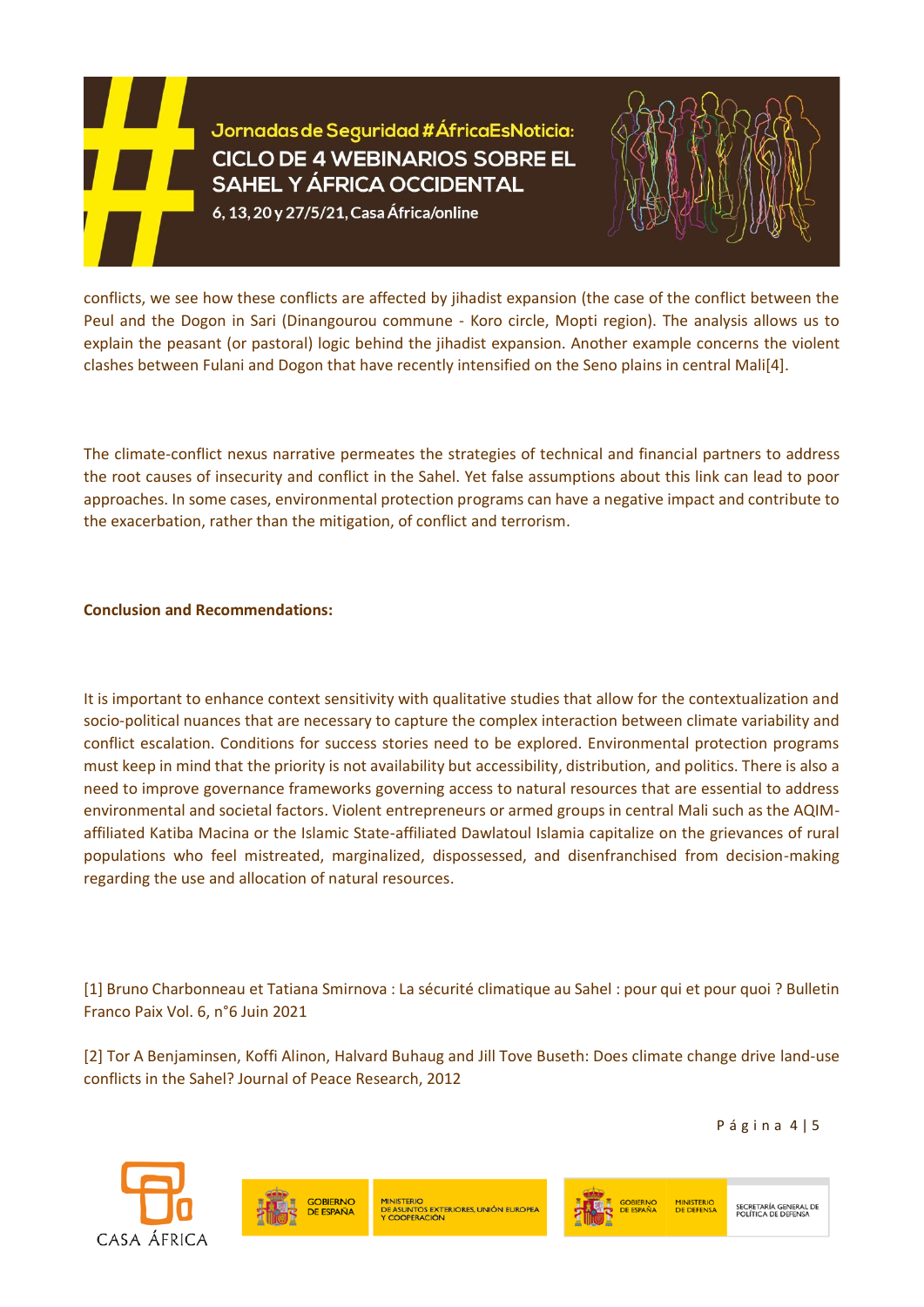Jornadas de Seguridad #ÁfricaEsNoticia: **CICLO DE 4 WEBINARIOS SOBRE EL SAHEL Y ÁFRICA OCCIDENTAL** 

6, 13, 20 y 27/5/21, Casa África/online



conflicts, we see how these conflicts are affected by jihadist expansion (the case of the conflict between the Peul and the Dogon in Sari (Dinangourou commune - Koro circle, Mopti region). The analysis allows us to explain the peasant (or pastoral) logic behind the jihadist expansion. Another example concerns the violent clashes between Fulani and Dogon that have recently intensified on the Seno plains in central Mali[4].

The climate-conflict nexus narrative permeates the strategies of technical and financial partners to address the root causes of insecurity and conflict in the Sahel. Yet false assumptions about this link can lead to poor approaches. In some cases, environmental protection programs can have a negative impact and contribute to the exacerbation, rather than the mitigation, of conflict and terrorism.

**Conclusion and Recommendations:** 

It is important to enhance context sensitivity with qualitative studies that allow for the contextualization and socio-political nuances that are necessary to capture the complex interaction between climate variability and conflict escalation. Conditions for success stories need to be explored. Environmental protection programs must keep in mind that the priority is not availability but accessibility, distribution, and politics. There is also a need to improve governance frameworks governing access to natural resources that are essential to address environmental and societal factors. Violent entrepreneurs or armed groups in central Mali such as the AQIMaffiliated Katiba Macina or the Islamic State-affiliated Dawlatoul Islamia capitalize on the grievances of rural populations who feel mistreated, marginalized, dispossessed, and disenfranchised from decision-making regarding the use and allocation of natural resources.

[1] Bruno Charbonneau et Tatiana Smirnova : La sécurité climatique au Sahel : pour qui et pour quoi ? Bulletin Franco Paix Vol. 6, n°6 Juin 2021

[2] Tor A Benjaminsen, Koffi Alinon, Halvard Buhaug and Jill Tove Buseth: Does climate change drive land-use conflicts in the Sahel? Journal of Peace Research, 2012

P á g i n a 4 | 5





MINISTERIO<br>DE ASUNTOS EXTERIORES, UNIÓN EUROPEA<br>Y COOPERACIÓN



SECRETARÍA GENERAL DE<br>POLÍTICA DE DEFENSA